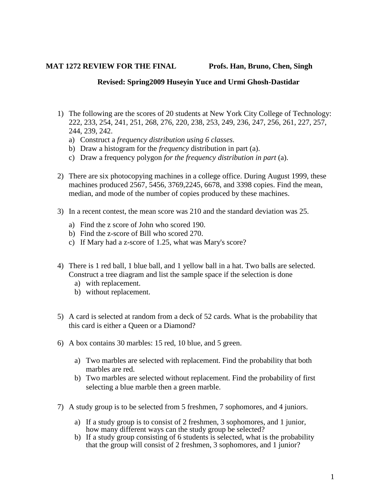## **MAT 1272 REVIEW FOR THE FINAL Profs. Han, Bruno, Chen, Singh**

## **Revised: Spring2009 Huseyin Yuce and Urmi Ghosh-Dastidar**

- 1) The following are the scores of 20 students at New York City College of Technology: 222, 233, 254, 241, 251, 268, 276, 220, 238, 253, 249, 236, 247, 256, 261, 227, 257, 244, 239, 242.
	- a) Construct a *frequency distribution using 6 classes.*
	- b) Draw a histogram for the *frequency* distribution in part (a).
	- c) Draw a frequency polygon *for the frequency distribution in part* (a).
- 2) There are six photocopying machines in a college office. During August 1999, these machines produced 2567, 5456, 3769,2245, 6678, and 3398 copies. Find the mean, median, and mode of the number of copies produced by these machines.
- 3) In a recent contest, the mean score was 210 and the standard deviation was 25.
	- a) Find the z score of John who scored 190.
	- b) Find the z-score of Bill who scored 270.
	- c) If Mary had a z-score of 1.25, what was Mary's score?
- 4) There is 1 red ball, 1 blue ball, and 1 yellow ball in a hat. Two balls are selected. Construct a tree diagram and list the sample space if the selection is done
	- a) with replacement.
	- b) without replacement.
- 5) A card is selected at random from a deck of 52 cards. What is the probability that this card is either a Queen or a Diamond?
- 6) A box contains 30 marbles: 15 red, 10 blue, and 5 green.
	- a) Two marbles are selected with replacement. Find the probability that both marbles are red.
	- b) Two marbles are selected without replacement. Find the probability of first selecting a blue marble then a green marble.
- 7) A study group is to be selected from 5 freshmen, 7 sophomores, and 4 juniors.
	- a) If a study group is to consist of 2 freshmen, 3 sophomores, and 1 junior, how many different ways can the study group be selected?
	- b) If a study group consisting of 6 students is selected, what is the probability that the group will consist of 2 freshmen, 3 sophomores, and 1 junior?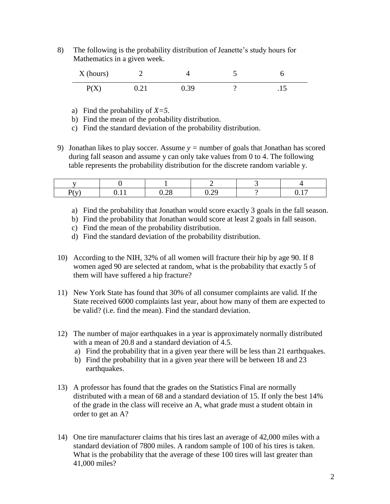8) The following is the probability distribution of Jeanette's study hours for Mathematics in a given week.

| X (hours) |            |      |   |
|-----------|------------|------|---|
| P(X)      | $\rm 0.21$ | 0.39 | . |

- a) Find the probability of *X=5*.
- b) Find the mean of the probability distribution.
- c) Find the standard deviation of the probability distribution.
- 9) Jonathan likes to play soccer. Assume *y =* number of goals that Jonathan has scored during fall season and assume y can only take values from 0 to 4. The following table represents the probability distribution for the discrete random variable y.

| P(v)<br>- | <u>.</u> | റ ററ<br>$v \sim$ | $\Omega$<br>$\mathsf{u} \cdot \mathsf{u}$ | 1 <sub>7</sub><br>$v \cdot r$ |
|-----------|----------|------------------|-------------------------------------------|-------------------------------|

- a) Find the probability that Jonathan would score exactly 3 goals in the fall season.
- b) Find the probability that Jonathan would score at least 2 goals in fall season.
- c) Find the mean of the probability distribution.
- d) Find the standard deviation of the probability distribution.
- 10) According to the NIH, 32% of all women will fracture their hip by age 90. If 8 women aged 90 are selected at random, what is the probability that exactly 5 of them will have suffered a hip fracture?
- 11) New York State has found that 30% of all consumer complaints are valid. If the State received 6000 complaints last year, about how many of them are expected to be valid? (i.e. find the mean). Find the standard deviation.
- 12) The number of major earthquakes in a year is approximately normally distributed with a mean of 20.8 and a standard deviation of 4.5.
	- a) Find the probability that in a given year there will be less than 21 earthquakes.
	- b) Find the probability that in a given year there will be between 18 and 23 earthquakes.
- 13) A professor has found that the grades on the Statistics Final are normally distributed with a mean of 68 and a standard deviation of 15. If only the best 14% of the grade in the class will receive an A, what grade must a student obtain in order to get an A?
- 14) One tire manufacturer claims that his tires last an average of 42,000 miles with a standard deviation of 7800 miles. A random sample of 100 of his tires is taken. What is the probability that the average of these 100 tires will last greater than 41,000 miles?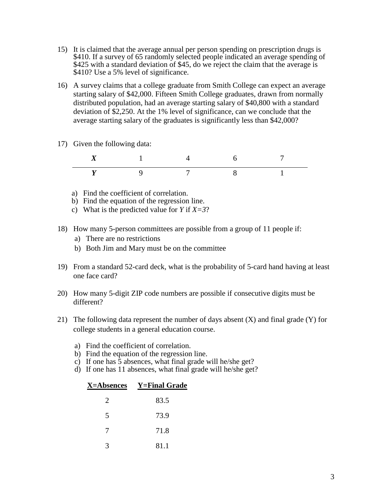- 15) It is claimed that the average annual per person spending on prescription drugs is \$410. If a survey of 65 randomly selected people indicated an average spending of \$425 with a standard deviation of \$45, do we reject the claim that the average is \$410? Use a 5% level of significance.
- 16) A survey claims that a college graduate from Smith College can expect an average starting salary of \$42,000. Fifteen Smith College graduates, drawn from normally distributed population, had an average starting salary of \$40,800 with a standard deviation of \$2,250. At the 1% level of significance, can we conclude that the average starting salary of the graduates is significantly less than \$42,000?
- 17) Given the following data:

- a) Find the coefficient of correlation.
- b) Find the equation of the regression line.
- c) What is the predicted value for *Y* if *X=3*?
- 18) How many 5-person committees are possible from a group of 11 people if:
	- a) There are no restrictions
	- b) Both Jim and Mary must be on the committee
- 19) From a standard 52-card deck, what is the probability of 5-card hand having at least one face card?
- 20) How many 5-digit ZIP code numbers are possible if consecutive digits must be different?
- 21) The following data represent the number of days absent  $(X)$  and final grade  $(Y)$  for college students in a general education course.
	- a) Find the coefficient of correlation.
	- b) Find the equation of the regression line.
	- c) If one has  $\bar{5}$  absences, what final grade will he/she get?
	- d) If one has 11 absences, what final grade will he/she get?

| <b>X=Absences</b> | <b>Y=Final Grade</b> |
|-------------------|----------------------|
| 2                 | 83.5                 |
| 5                 | 73.9                 |
| 7                 | 71.8                 |
| 3                 | 81.1                 |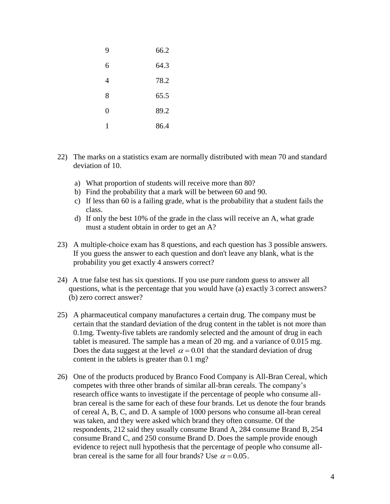| 9        | 66.2 |
|----------|------|
| 6        | 64.3 |
| 4        | 78.2 |
| 8        | 65.5 |
| $\theta$ | 89.2 |
| 1        | 86.4 |

- 22) The marks on a statistics exam are normally distributed with mean 70 and standard deviation of 10.
	- a) What proportion of students will receive more than 80?
	- b) Find the probability that a mark will be between 60 and 90.
	- c) If less than 60 is a failing grade, what is the probability that a student fails the class.
	- d) If only the best 10% of the grade in the class will receive an A, what grade must a student obtain in order to get an A?
- 23) A multiple-choice exam has 8 questions, and each question has 3 possible answers. If you guess the answer to each question and don't leave any blank, what is the probability you get exactly 4 answers correct?
- 24) A true false test has six questions. If you use pure random guess to answer all questions, what is the percentage that you would have (a) exactly 3 correct answers? (b) zero correct answer?
- 25) A pharmaceutical company manufactures a certain drug. The company must be certain that the standard deviation of the drug content in the tablet is not more than 0.1mg. Twenty-five tablets are randomly selected and the amount of drug in each tablet is measured. The sample has a mean of 20 mg. and a variance of 0.015 mg. Does the data suggest at the level  $\alpha = 0.01$  that the standard deviation of drug content in the tablets is greater than 0.1 mg?
- 26) One of the products produced by Branco Food Company is All-Bran Cereal, which competes with three other brands of similar all-bran cereals. The company's research office wants to investigate if the percentage of people who consume allbran cereal is the same for each of these four brands. Let us denote the four brands of cereal A, B, C, and D. A sample of 1000 persons who consume all-bran cereal was taken, and they were asked which brand they often consume. Of the respondents, 212 said they usually consume Brand A, 284 consume Brand B, 254 consume Brand C, and 250 consume Brand D. Does the sample provide enough evidence to reject null hypothesis that the percentage of people who consume allbran cereal is the same for all four brands? Use  $\alpha = 0.05$ .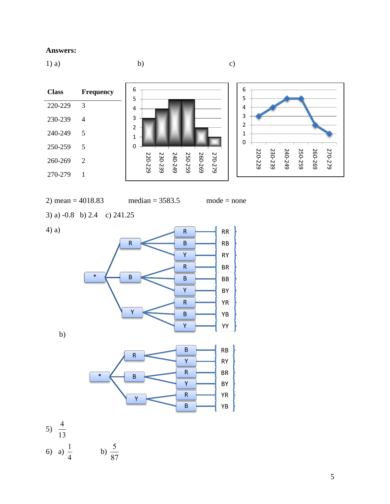## **Answers:**

 $1)$  a) b) c) **Class Frequency** 220-229 3 230-239 4 240-249 5 250-259 5 260-269 2 270-279 1 2) mean =  $4018.83$  median =  $3583.5$  mode = none 3) a) -0.8 b) 2.4 c) 241.25 4) a) b) 0 1 2 3 4 5 6 220-229 230-239 240-249 250-259 260-269 270-279 0 1 2 3 4 5 6 220-229 230-239 240-249 250-259 260-269 270-279 \* R  $R \rightarrow R$  $\overline{B}$  RB  $Y$  RY B  $R \rightarrow$ BR  $\overline{B}$  BB  $Y \rightarrow$  BY Y R **YR**  $\overline{B}$  YB  $Y$  YY \* R  $\overline{B}$  RB  $Y$  RY B  $R \rightarrow$  BR  $Y$  BY

> $R \rightarrow YR$  $\overline{B}$  YB

5)  $\frac{4}{15}$ 6) a)  $\frac{1}{1}$  b) 13 4

5 87 Y